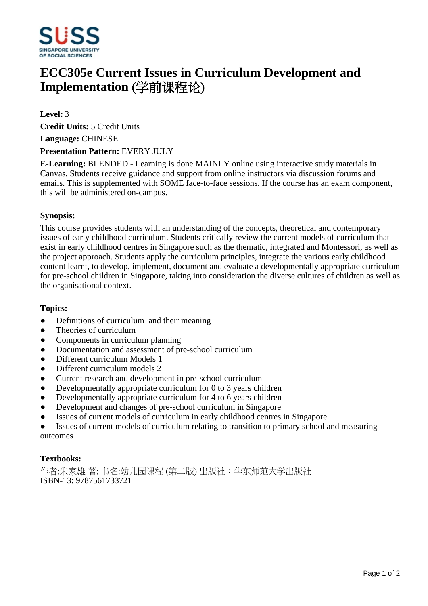

# **ECC305e Current Issues in Curriculum Development and Implementation** (学前课程论)

**Level:** 3

**Credit Units:** 5 Credit Units

**Language:** CHINESE

#### **Presentation Pattern:** EVERY JULY

**E-Learning:** BLENDED - Learning is done MAINLY online using interactive study materials in Canvas. Students receive guidance and support from online instructors via discussion forums and emails. This is supplemented with SOME face-to-face sessions. If the course has an exam component, this will be administered on-campus.

#### **Synopsis:**

This course provides students with an understanding of the concepts, theoretical and contemporary issues of early childhood curriculum. Students critically review the current models of curriculum that exist in early childhood centres in Singapore such as the thematic, integrated and Montessori, as well as the project approach. Students apply the curriculum principles, integrate the various early childhood content learnt, to develop, implement, document and evaluate a developmentally appropriate curriculum for pre-school children in Singapore, taking into consideration the diverse cultures of children as well as the organisational context.

#### **Topics:**

- Definitions of curriculum and their meaning
- Theories of curriculum
- Components in curriculum planning
- Documentation and assessment of pre-school curriculum
- Different curriculum Models 1
- Different curriculum models 2
- Current research and development in pre-school curriculum
- $\bullet$  Developmentally appropriate curriculum for 0 to 3 years children
- Developmentally appropriate curriculum for 4 to 6 years children
- Development and changes of pre-school curriculum in Singapore
- Issues of current models of curriculum in early childhood centres in Singapore

Issues of current models of curriculum relating to transition to primary school and measuring outcomes

## **Textbooks:**

作者:朱家雄著: 书名:幼儿园课程 (第二版) 出版社:华东师范大学出版社 ISBN-13: 9787561733721